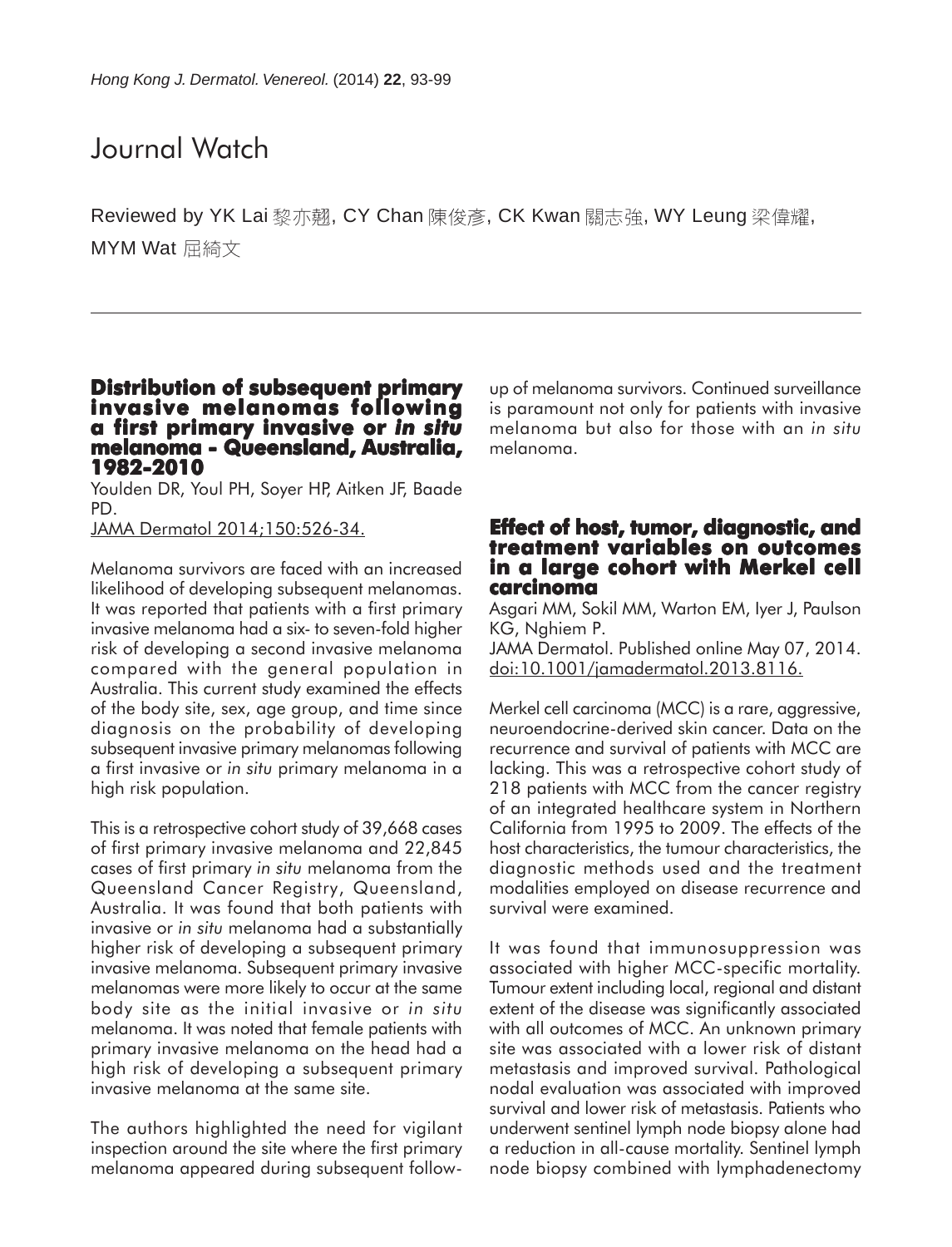# Journal Watch

Reviewed by YK Lai 黎亦翹, CY Chan 陳俊彥, CK Kwan 關志強, WY Leung 梁偉耀, MYM Wat 屈綺文

#### **Distribution of subsequent primary invasive melanomas following a first primary invasive or first invasive** *in situ* **melanoma - Queensland, Australia, melanoma Queensland, Australia, 1982-2010**

Youlden DR, Youl PH, Soyer HP, Aitken JF, Baade PD.

JAMA Dermatol 2014;150:526-34.

Melanoma survivors are faced with an increased likelihood of developing subsequent melanomas. It was reported that patients with a first primary invasive melanoma had a six- to seven-fold higher risk of developing a second invasive melanoma compared with the general population in Australia. This current study examined the effects of the body site, sex, age group, and time since diagnosis on the probability of developing subsequent invasive primary melanomas following a first invasive or *in situ* primary melanoma in a high risk population.

This is a retrospective cohort study of 39,668 cases of first primary invasive melanoma and 22,845 cases of first primary *in situ* melanoma from the Queensland Cancer Registry, Queensland, Australia. It was found that both patients with invasive or *in situ* melanoma had a substantially higher risk of developing a subsequent primary invasive melanoma. Subsequent primary invasive melanomas were more likely to occur at the same body site as the initial invasive or *in situ* melanoma. It was noted that female patients with primary invasive melanoma on the head had a high risk of developing a subsequent primary invasive melanoma at the same site.

The authors highlighted the need for vigilant inspection around the site where the first primary melanoma appeared during subsequent followup of melanoma survivors. Continued surveillance is paramount not only for patients with invasive melanoma but also for those with an *in situ* melanoma.

#### **Effect of host, tumor, diagnostic, and treatment variables on outcomes in a large cohort with Merkel cell carcinoma**

Asgari MM, Sokil MM, Warton EM, Iyer J, Paulson KG, Nghiem P. JAMA Dermatol. Published online May 07, 2014. doi:10.1001/jamadermatol.2013.8116.

Merkel cell carcinoma (MCC) is a rare, aggressive, neuroendocrine-derived skin cancer. Data on the recurrence and survival of patients with MCC are lacking. This was a retrospective cohort study of 218 patients with MCC from the cancer registry of an integrated healthcare system in Northern California from 1995 to 2009. The effects of the host characteristics, the tumour characteristics, the diagnostic methods used and the treatment modalities employed on disease recurrence and survival were examined.

It was found that immunosuppression was associated with higher MCC-specific mortality. Tumour extent including local, regional and distant extent of the disease was significantly associated with all outcomes of MCC. An unknown primary site was associated with a lower risk of distant metastasis and improved survival. Pathological nodal evaluation was associated with improved survival and lower risk of metastasis. Patients who underwent sentinel lymph node biopsy alone had a reduction in all-cause mortality. Sentinel lymph node biopsy combined with lymphadenectomy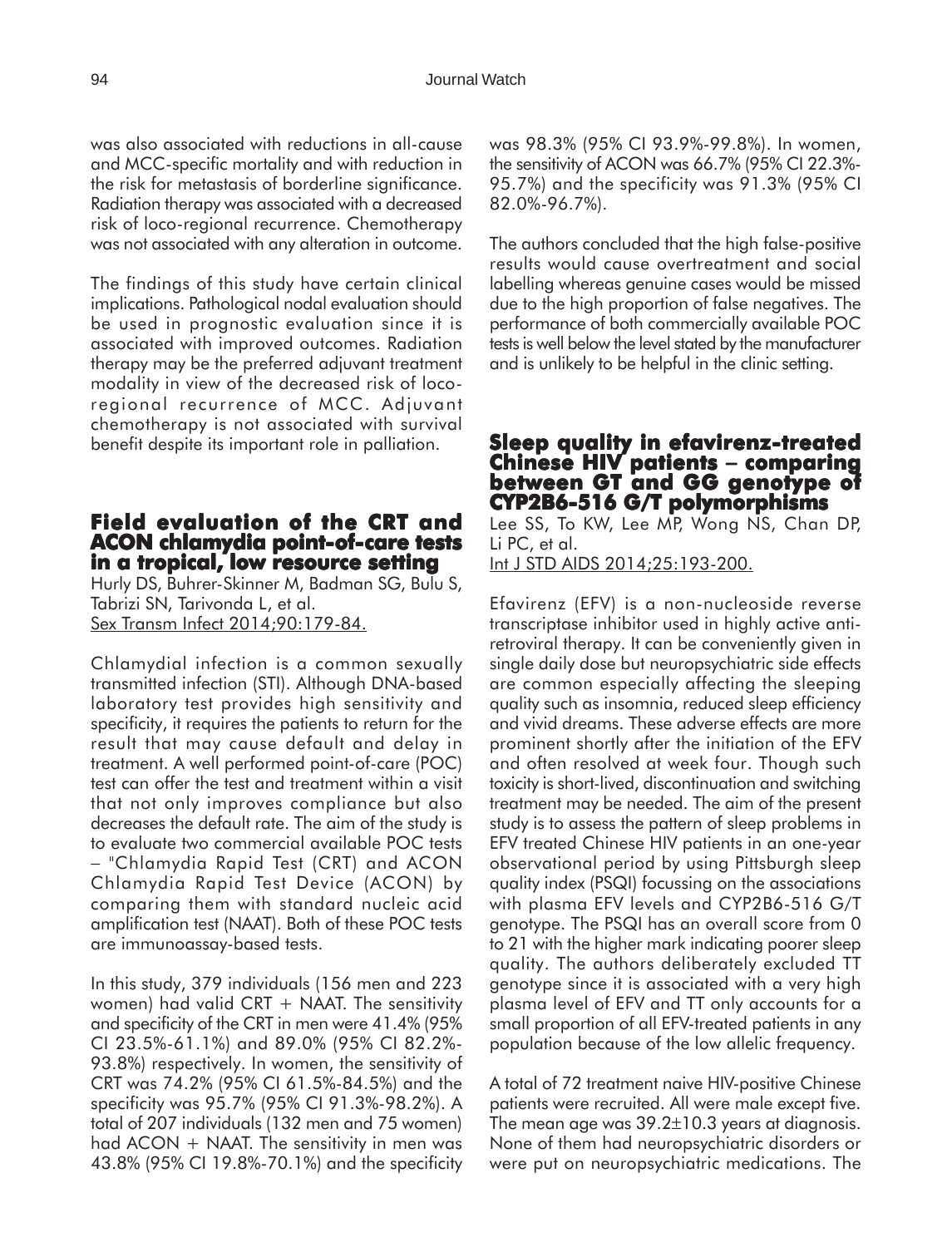was also associated with reductions in all-cause and MCC-specific mortality and with reduction in the risk for metastasis of borderline significance. Radiation therapy was associated with a decreased risk of loco-regional recurrence. Chemotherapy was not associated with any alteration in outcome.

The findings of this study have certain clinical implications. Pathological nodal evaluation should be used in prognostic evaluation since it is associated with improved outcomes. Radiation therapy may be the preferred adjuvant treatment modality in view of the decreased risk of locoregional recurrence of MCC. Adjuvant chemotherapy is not associated with survival benefit despite its important role in palliation.

#### **Field evaluation of the CRT and ACON chlamydia point CON chlamydia point-of-care tests in a tropical, low resource setting**

Hurly DS, Buhrer-Skinner M, Badman SG, Bulu S, Tabrizi SN, Tarivonda L, et al. Sex Transm Infect 2014;90:179-84.

Chlamydial infection is a common sexually transmitted infection (STI). Although DNA-based laboratory test provides high sensitivity and specificity, it requires the patients to return for the result that may cause default and delay in treatment. A well performed point-of-care (POC) test can offer the test and treatment within a visit that not only improves compliance but also decreases the default rate. The aim of the study is to evaluate two commercial available POC tests − "Chlamydia Rapid Test (CRT) and ACON Chlamydia Rapid Test Device (ACON) by comparing them with standard nucleic acid amplification test (NAAT). Both of these POC tests are immunoassay-based tests.

In this study, 379 individuals (156 men and 223 women) had valid CRT  $+$  NAAT. The sensitivity and specificity of the CRT in men were 41.4% (95% CI 23.5%-61.1%) and 89.0% (95% CI 82.2%- 93.8%) respectively. In women, the sensitivity of CRT was 74.2% (95% CI 61.5%-84.5%) and the specificity was 95.7% (95% CI 91.3%-98.2%). A total of 207 individuals (132 men and 75 women) had  $ACON + NAAT$ . The sensitivity in men was 43.8% (95% CI 19.8%-70.1%) and the specificity

was 98.3% (95% CI 93.9%-99.8%). In women, the sensitivity of ACON was 66.7% (95% CI 22.3%- 95.7%) and the specificity was 91.3% (95% CI 82.0%-96.7%).

The authors concluded that the high false-positive results would cause overtreatment and social labelling whereas genuine cases would be missed due to the high proportion of false negatives. The performance of both commercially available POC tests is well below the level stated by the manufacturer and is unlikely to be helpful in the clinic setting.

# **Sleep quality in efavirenz-treated Chinese HIV patients Chinese** − **comparing between GT and GG genotype of T genotype of CYP2B6-516 G/T polymorphisms**

Lee SS, To KW, Lee MP, Wong NS, Chan DP, Li PC, et al.

Int J STD AIDS 2014;25:193-200.

Efavirenz (EFV) is a non-nucleoside reverse transcriptase inhibitor used in highly active antiretroviral therapy. It can be conveniently given in single daily dose but neuropsychiatric side effects are common especially affecting the sleeping quality such as insomnia, reduced sleep efficiency and vivid dreams. These adverse effects are more prominent shortly after the initiation of the EFV and often resolved at week four. Though such toxicity is short-lived, discontinuation and switching treatment may be needed. The aim of the present study is to assess the pattern of sleep problems in EFV treated Chinese HIV patients in an one-year observational period by using Pittsburgh sleep quality index (PSQI) focussing on the associations with plasma EFV levels and CYP2B6-516 G/T genotype. The PSQI has an overall score from 0 to 21 with the higher mark indicating poorer sleep quality. The authors deliberately excluded TT genotype since it is associated with a very high plasma level of EFV and TT only accounts for a small proportion of all EFV-treated patients in any population because of the low allelic frequency.

A total of 72 treatment naive HIV-positive Chinese patients were recruited. All were male except five. The mean age was 39.2±10.3 years at diagnosis. None of them had neuropsychiatric disorders or were put on neuropsychiatric medications. The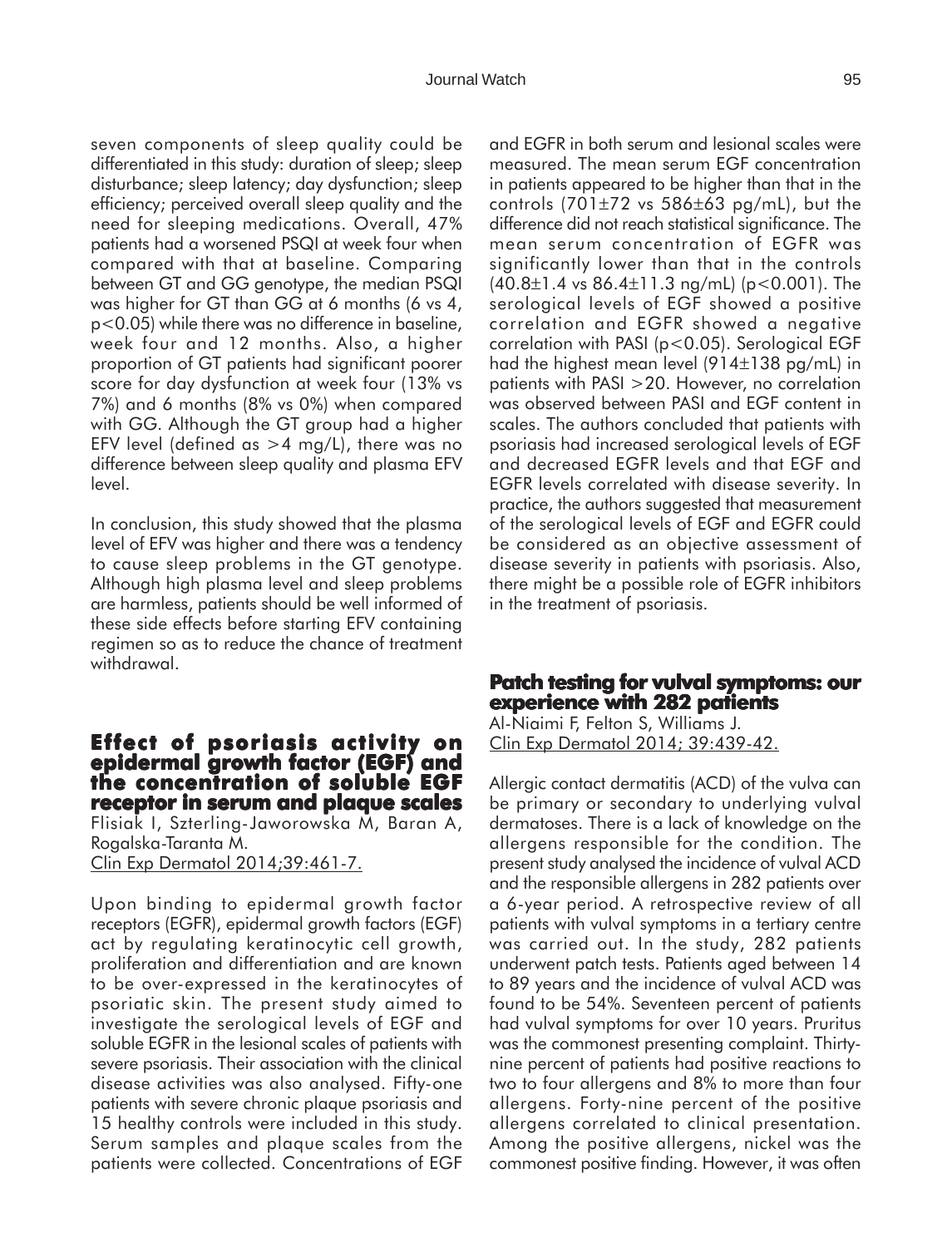seven components of sleep quality could be differentiated in this study: duration of sleep; sleep disturbance; sleep latency; day dysfunction; sleep efficiency; perceived overall sleep quality and the need for sleeping medications. Overall, 47% patients had a worsened PSQI at week four when compared with that at baseline. Comparing between GT and GG genotype, the median PSQI was higher for GT than GG at 6 months (6 vs 4, p<0.05) while there was no difference in baseline, week four and 12 months. Also, a higher proportion of GT patients had significant poorer score for day dysfunction at week four (13% vs 7%) and 6 months (8% vs 0%) when compared with GG. Although the GT group had a higher EFV level (defined as  $>4$  mg/L), there was no difference between sleep quality and plasma EFV level.

In conclusion, this study showed that the plasma level of EFV was higher and there was a tendency to cause sleep problems in the GT genotype. Although high plasma level and sleep problems are harmless, patients should be well informed of these side effects before starting EFV containing regimen so as to reduce the chance of treatment withdrawal.

#### **Effect of psoriasis activity on epidermal growth factor (EGF) and the concentration of soluble EGF receptor in serum and plaque scales** Flisiak I, Szterling-Jaworowska M, Baran A, Rogalska-Taranta M.

Clin Exp Dermatol 2014;39:461-7.

Upon binding to epidermal growth factor receptors (EGFR), epidermal growth factors (EGF) act by regulating keratinocytic cell growth, proliferation and differentiation and are known to be over-expressed in the keratinocytes of psoriatic skin. The present study aimed to investigate the serological levels of EGF and soluble EGFR in the lesional scales of patients with severe psoriasis. Their association with the clinical disease activities was also analysed. Fifty-one patients with severe chronic plaque psoriasis and 15 healthy controls were included in this study. Serum samples and plaque scales from the patients were collected. Concentrations of EGF

and EGFR in both serum and lesional scales were measured. The mean serum EGF concentration in patients appeared to be higher than that in the controls  $(701\pm72 \text{ vs } 586\pm63 \text{ pg/mL})$ , but the difference did not reach statistical significance. The mean serum concentration of EGFR was significantly lower than that in the controls  $(40.8 \pm 1.4 \text{ vs } 86.4 \pm 11.3 \text{ ng/mL})$  (p < 0.001). The serological levels of EGF showed a positive correlation and EGFR showed a negative correlation with PASI (p<0.05). Serological EGF had the highest mean level (914±138 pg/mL) in patients with PASI >20. However, no correlation was observed between PASI and EGF content in scales. The authors concluded that patients with psoriasis had increased serological levels of EGF and decreased EGFR levels and that EGF and EGFR levels correlated with disease severity. In practice, the authors suggested that measurement of the serological levels of EGF and EGFR could be considered as an objective assessment of disease severity in patients with psoriasis. Also, there might be a possible role of EGFR inhibitors in the treatment of psoriasis.

#### **Patch testing for vulval symptoms: our experience with 282 patients**

Al-Niaimi F, Felton S, Williams J. Clin Exp Dermatol 2014; 39:439-42.

Allergic contact dermatitis (ACD) of the vulva can be primary or secondary to underlying vulval dermatoses. There is a lack of knowledge on the allergens responsible for the condition. The present study analysed the incidence of vulval ACD and the responsible allergens in 282 patients over a 6-year period. A retrospective review of all patients with vulval symptoms in a tertiary centre was carried out. In the study, 282 patients underwent patch tests. Patients aged between 14 to 89 years and the incidence of vulval ACD was found to be 54%. Seventeen percent of patients had vulval symptoms for over 10 years. Pruritus was the commonest presenting complaint. Thirtynine percent of patients had positive reactions to two to four allergens and 8% to more than four allergens. Forty-nine percent of the positive allergens correlated to clinical presentation. Among the positive allergens, nickel was the commonest positive finding. However, it was often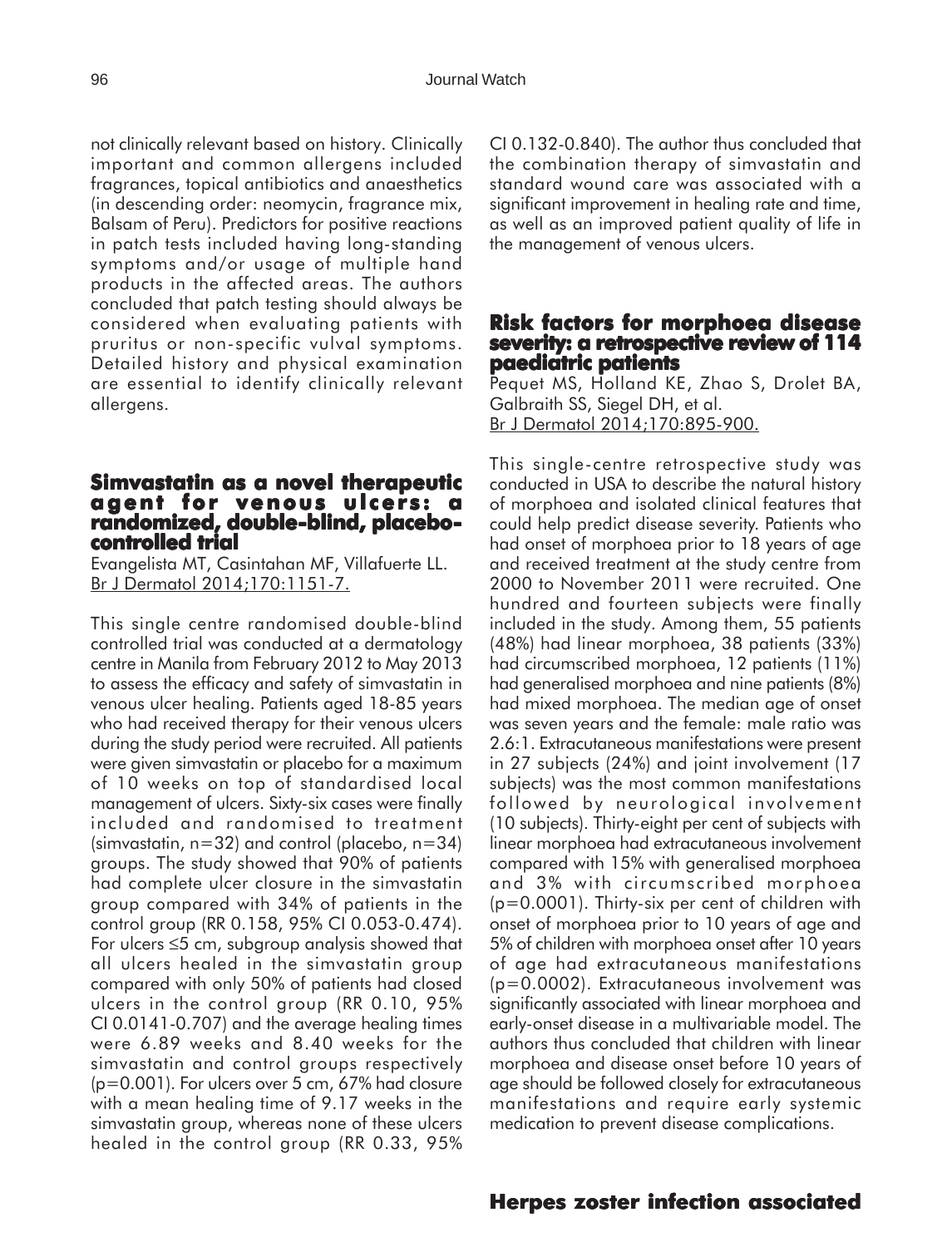not clinically relevant based on history. Clinically important and common allergens included fragrances, topical antibiotics and anaesthetics (in descending order: neomycin, fragrance mix, Balsam of Peru). Predictors for positive reactions in patch tests included having long-standing symptoms and/or usage of multiple hand products in the affected areas. The authors concluded that patch testing should always be considered when evaluating patients with pruritus or non-specific vulval symptoms. Detailed history and physical examination are essential to identify clinically relevant allergens.

## **Simvastatin as a novel therapeutic agent for venous ulcers: a randomized, double-blind, placebo- controlled trial trial**

Evangelista MT, Casintahan MF, Villafuerte LL. Br J Dermatol 2014;170:1151-7.

This single centre randomised double-blind controlled trial was conducted at a dermatology centre in Manila from February 2012 to May 2013 to assess the efficacy and safety of simvastatin in venous ulcer healing. Patients aged 18-85 years who had received therapy for their venous ulcers during the study period were recruited. All patients were given simvastatin or placebo for a maximum of 10 weeks on top of standardised local management of ulcers. Sixty-six cases were finally included and randomised to treatment (simvastatin,  $n=32$ ) and control (placebo,  $n=34$ ) groups. The study showed that 90% of patients had complete ulcer closure in the simvastatin group compared with 34% of patients in the control group (RR 0.158, 95% CI 0.053-0.474). For ulcers ≤5 cm, subgroup analysis showed that all ulcers healed in the simvastatin group compared with only 50% of patients had closed ulcers in the control group (RR 0.10, 95% CI 0.0141-0.707) and the average healing times were 6.89 weeks and 8.40 weeks for the simvastatin and control groups respectively (p=0.001). For ulcers over 5 cm, 67% had closure with a mean healing time of 9.17 weeks in the simvastatin group, whereas none of these ulcers healed in the control group (RR 0.33, 95%

CI 0.132-0.840). The author thus concluded that the combination therapy of simvastatin and standard wound care was associated with a significant improvement in healing rate and time, as well as an improved patient quality of life in the management of venous ulcers.

#### **Risk factors for morphoea disease severity: a retrospective review of 114 paediatric patients**

Pequet MS, Holland KE, Zhao S, Drolet BA, Galbraith SS, Siegel DH, et al. Br J Dermatol 2014;170:895-900.

This single-centre retrospective study was conducted in USA to describe the natural history of morphoea and isolated clinical features that could help predict disease severity. Patients who had onset of morphoea prior to 18 years of age and received treatment at the study centre from 2000 to November 2011 were recruited. One hundred and fourteen subjects were finally included in the study. Among them, 55 patients (48%) had linear morphoea, 38 patients (33%) had circumscribed morphoea, 12 patients (11%) had generalised morphoea and nine patients (8%) had mixed morphoea. The median age of onset was seven years and the female: male ratio was 2.6:1. Extracutaneous manifestations were present in 27 subjects (24%) and joint involvement (17 subjects) was the most common manifestations followed by neurological involvement (10 subjects). Thirty-eight per cent of subjects with linear morphoea had extracutaneous involvement compared with 15% with generalised morphoea and 3% with circumscribed morphoea (p=0.0001). Thirty-six per cent of children with onset of morphoea prior to 10 years of age and 5% of children with morphoea onset after 10 years of age had extracutaneous manifestations (p=0.0002). Extracutaneous involvement was significantly associated with linear morphoea and early-onset disease in a multivariable model. The authors thus concluded that children with linear morphoea and disease onset before 10 years of age should be followed closely for extracutaneous manifestations and require early systemic medication to prevent disease complications.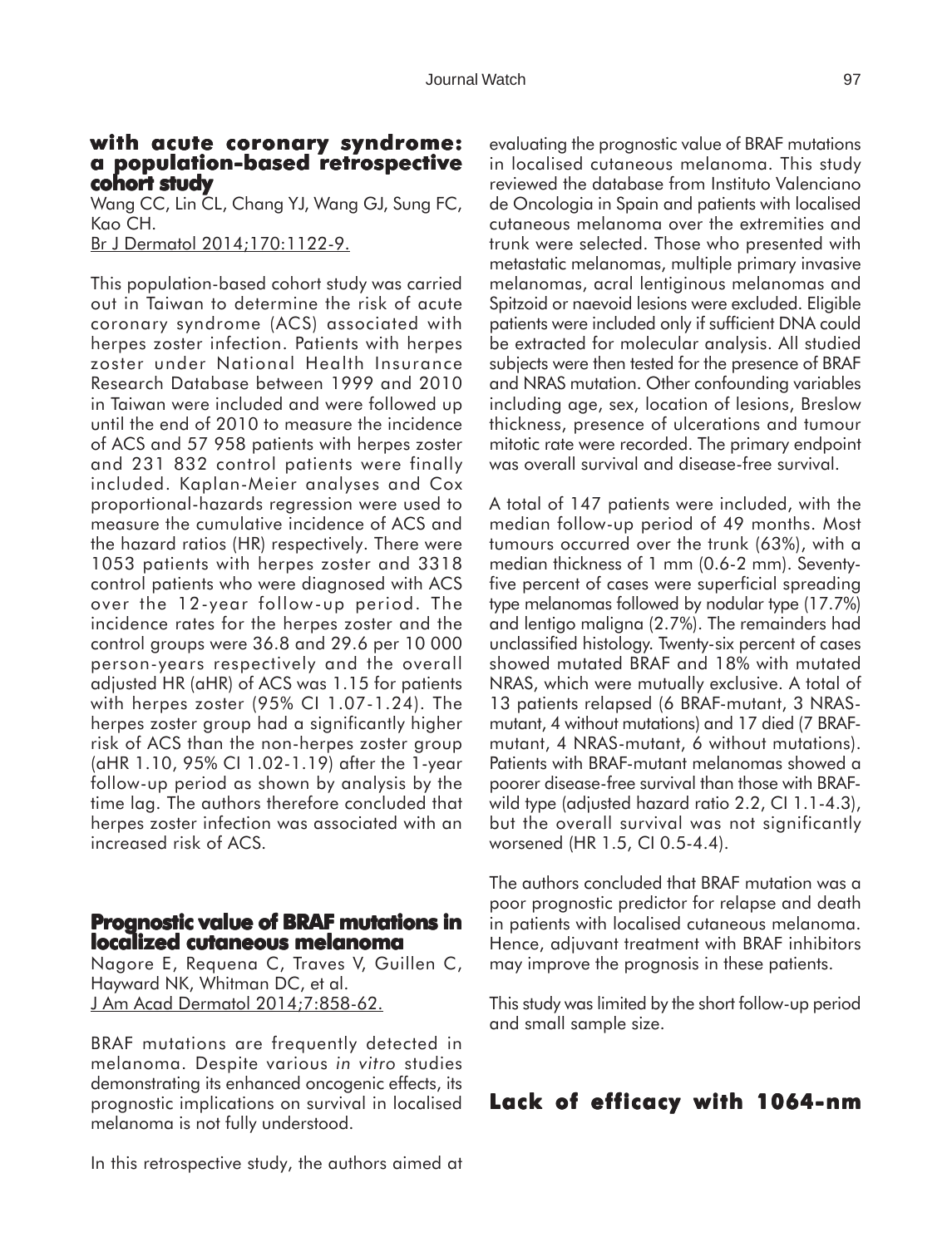#### **with acute coronary syndrome: with acute coronary syndrome: a population-based retrospective cohort study**

Wang CC, Lin CL, Chang YJ, Wang GJ, Sung FC, Kao CH.

Br J Dermatol 2014;170:1122-9.

This population-based cohort study was carried out in Taiwan to determine the risk of acute coronary syndrome (ACS) associated with herpes zoster infection. Patients with herpes zoster under National Health Insurance Research Database between 1999 and 2010 in Taiwan were included and were followed up until the end of 2010 to measure the incidence of ACS and 57 958 patients with herpes zoster and 231 832 control patients were finally included. Kaplan-Meier analyses and Cox proportional-hazards regression were used to measure the cumulative incidence of ACS and the hazard ratios (HR) respectively. There were 1053 patients with herpes zoster and 3318 control patients who were diagnosed with ACS over the 12-year follow-up period. The incidence rates for the herpes zoster and the control groups were 36.8 and 29.6 per 10 000 person-years respectively and the overall adjusted HR (aHR) of ACS was 1.15 for patients with herpes zoster (95% CI 1.07-1.24). The herpes zoster group had a significantly higher risk of ACS than the non-herpes zoster group (aHR 1.10, 95% CI 1.02-1.19) after the 1-year follow-up period as shown by analysis by the time lag. The authors therefore concluded that herpes zoster infection was associated with an increased risk of ACS.

#### **Prognostic value of BRAF mutations in localized cutaneous melanoma**

Nagore E, Requena C, Traves V, Guillen C, Hayward NK, Whitman DC, et al. J Am Acad Dermatol 2014;7:858-62.

BRAF mutations are frequently detected in melanoma. Despite various *in vitro* studies demonstrating its enhanced oncogenic effects, its prognostic implications on survival in localised melanoma is not fully understood.

In this retrospective study, the authors aimed at

evaluating the prognostic value of BRAF mutations in localised cutaneous melanoma. This study reviewed the database from Instituto Valenciano de Oncologia in Spain and patients with localised cutaneous melanoma over the extremities and trunk were selected. Those who presented with metastatic melanomas, multiple primary invasive melanomas, acral lentiginous melanomas and Spitzoid or naevoid lesions were excluded. Eligible patients were included only if sufficient DNA could be extracted for molecular analysis. All studied subjects were then tested for the presence of BRAF and NRAS mutation. Other confounding variables including age, sex, location of lesions, Breslow thickness, presence of ulcerations and tumour mitotic rate were recorded. The primary endpoint was overall survival and disease-free survival.

A total of 147 patients were included, with the median follow-up period of 49 months. Most tumours occurred over the trunk (63%), with a median thickness of 1 mm (0.6-2 mm). Seventyfive percent of cases were superficial spreading type melanomas followed by nodular type (17.7%) and lentigo maligna (2.7%). The remainders had unclassified histology. Twenty-six percent of cases showed mutated BRAF and 18% with mutated NRAS, which were mutually exclusive. A total of 13 patients relapsed (6 BRAF-mutant, 3 NRASmutant, 4 without mutations) and 17 died (7 BRAFmutant, 4 NRAS-mutant, 6 without mutations). Patients with BRAF-mutant melanomas showed a poorer disease-free survival than those with BRAFwild type (adjusted hazard ratio 2.2, CI 1.1-4.3), but the overall survival was not significantly worsened (HR 1.5, CI 0.5-4.4).

The authors concluded that BRAF mutation was a poor prognostic predictor for relapse and death in patients with localised cutaneous melanoma. Hence, adjuvant treatment with BRAF inhibitors may improve the prognosis in these patients.

This study was limited by the short follow-up period and small sample size.

### **Lack of efficacy with 1064-nm**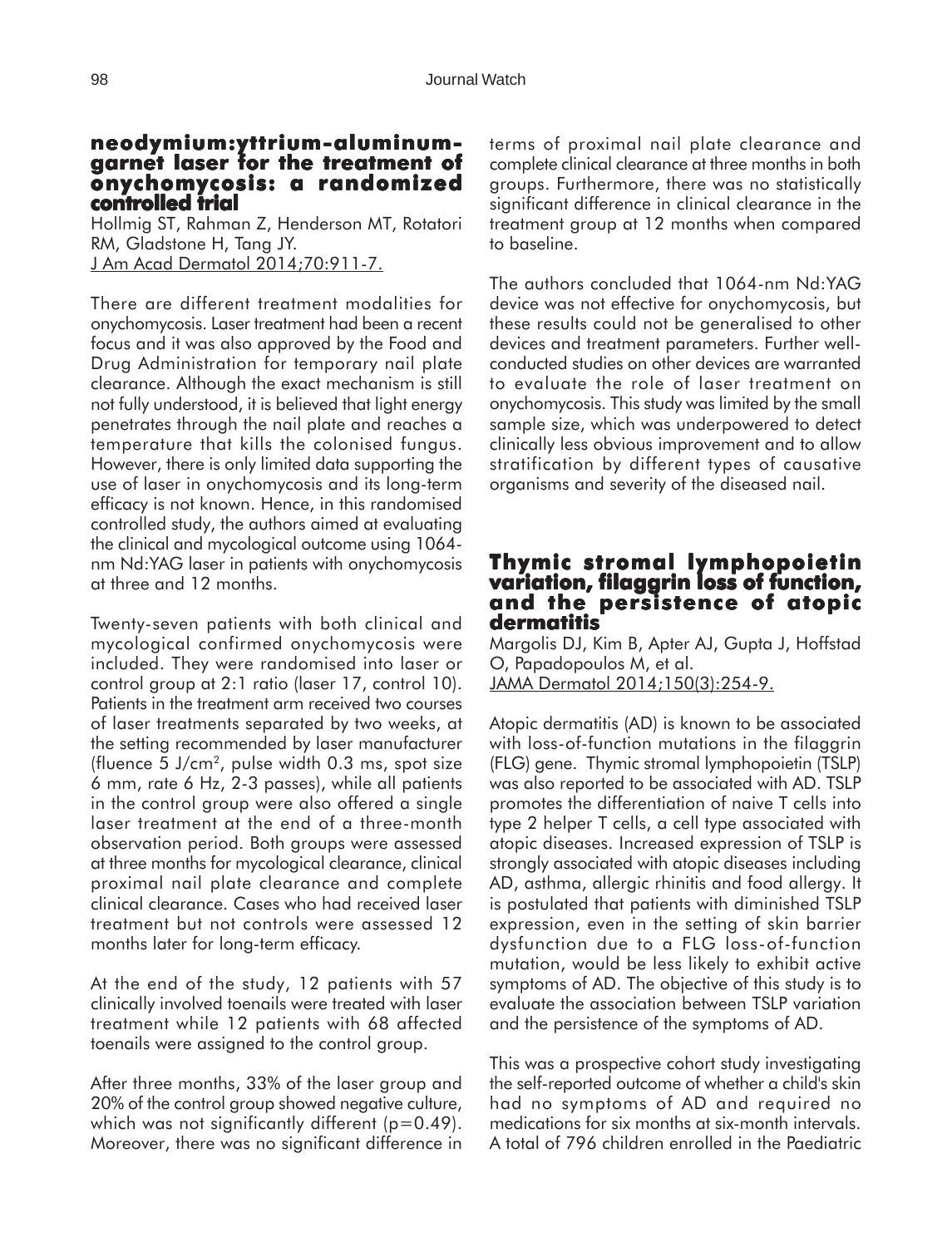#### **neodymium:yttrium-aluminumgarnet laser for the treatment of laser for the treatment onychomycosis: a randomized controlled trial trial**

Hollmig ST, Rahman Z, Henderson MT, Rotatori RM, Gladstone H, Tang JY. J Am Acad Dermatol 2014;70:911-7.

There are different treatment modalities for onychomycosis. Laser treatment had been a recent focus and it was also approved by the Food and Drug Administration for temporary nail plate clearance. Although the exact mechanism is still not fully understood, it is believed that light energy penetrates through the nail plate and reaches a temperature that kills the colonised fungus. However, there is only limited data supporting the use of laser in onychomycosis and its long-term efficacy is not known. Hence, in this randomised controlled study, the authors aimed at evaluating the clinical and mycological outcome using 1064 nm Nd:YAG laser in patients with onychomycosis at three and 12 months.

Twenty-seven patients with both clinical and mycological confirmed onychomycosis were included. They were randomised into laser or control group at 2:1 ratio (laser 17, control 10). Patients in the treatment arm received two courses of laser treatments separated by two weeks, at the setting recommended by laser manufacturer (fluence  $5 \text{ J/cm}^2$ , pulse width 0.3 ms, spot size 6 mm, rate 6 Hz, 2-3 passes), while all patients in the control group were also offered a single laser treatment at the end of a three-month observation period. Both groups were assessed at three months for mycological clearance, clinical proximal nail plate clearance and complete clinical clearance. Cases who had received laser treatment but not controls were assessed 12 months later for long-term efficacy.

At the end of the study, 12 patients with 57 clinically involved toenails were treated with laser treatment while 12 patients with 68 affected toenails were assigned to the control group.

After three months, 33% of the laser group and 20% of the control group showed negative culture, which was not significantly different  $(p=0.49)$ . Moreover, there was no significant difference in terms of proximal nail plate clearance and complete clinical clearance at three months in both groups. Furthermore, there was no statistically significant difference in clinical clearance in the treatment group at 12 months when compared to baseline.

The authors concluded that 1064-nm Nd:YAG device was not effective for onychomycosis, but these results could not be generalised to other devices and treatment parameters. Further wellconducted studies on other devices are warranted to evaluate the role of laser treatment on onychomycosis. This study was limited by the small sample size, which was underpowered to detect clinically less obvious improvement and to allow stratification by different types of causative organisms and severity of the diseased nail.

#### **Thymic stromal lymphopoietin variation, filaggrin loss of function, filaggrin of function, and the persistence of atopic dermatitis**

Margolis DJ, Kim B, Apter AJ, Gupta J, Hoffstad O, Papadopoulos M, et al. JAMA Dermatol 2014;150(3):254-9.

Atopic dermatitis (AD) is known to be associated with loss-of-function mutations in the filaggrin (FLG) gene. Thymic stromal lymphopoietin (TSLP) was also reported to be associated with AD. TSLP promotes the differentiation of naive T cells into type 2 helper T cells, a cell type associated with atopic diseases. Increased expression of TSLP is strongly associated with atopic diseases including AD, asthma, allergic rhinitis and food allergy. It is postulated that patients with diminished TSLP expression, even in the setting of skin barrier dysfunction due to a FLG loss-of-function mutation, would be less likely to exhibit active symptoms of AD. The objective of this study is to evaluate the association between TSLP variation and the persistence of the symptoms of AD.

This was a prospective cohort study investigating the self-reported outcome of whether a child's skin had no symptoms of AD and required no medications for six months at six-month intervals. A total of 796 children enrolled in the Paediatric